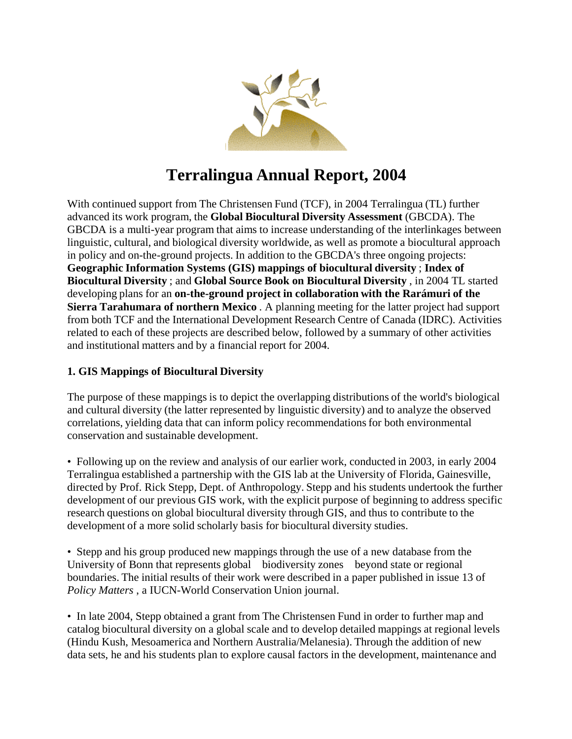

# **Terralingua Annual Report, 2004**

With continued support from The Christensen Fund (TCF), in 2004 Terralingua (TL) further advanced its work program, the **Global Biocultural Diversity Assessment** (GBCDA). The GBCDA is a multi-year program that aims to increase understanding of the interlinkages between linguistic, cultural, and biological diversity worldwide, as well as promote a biocultural approach in policy and on-the-ground projects. In addition to the GBCDA's three ongoing projects: **Geographic Information Systems (GIS) mappings of biocultural diversity** ; **Index of Biocultural Diversity** ; and **Global Source Book on Biocultural Diversity** , in 2004 TL started developing plans for an **on-the-ground project in collaboration with the Rarámuri of the Sierra Tarahumara of northern Mexico** . A planning meeting for the latter project had support from both TCF and the International Development Research Centre of Canada (IDRC). Activities related to each of these projects are described below, followed by a summary of other activities and institutional matters and by a financial report for 2004.

## **1. GIS Mappings of Biocultural Diversity**

The purpose of these mappings is to depict the overlapping distributions of the world's biological and cultural diversity (the latter represented by linguistic diversity) and to analyze the observed correlations, yielding data that can inform policy recommendations for both environmental conservation and sustainable development.

• Following up on the review and analysis of our earlier work, conducted in 2003, in early 2004 Terralingua established a partnership with the GIS lab at the University of Florida, Gainesville, directed by Prof. Rick Stepp, Dept. of Anthropology. Stepp and his students undertook the further development of our previous GIS work, with the explicit purpose of beginning to address specific research questions on global biocultural diversity through GIS, and thus to contribute to the development of a more solid scholarly basis for biocultural diversity studies.

• Stepp and his group produced new mappings through the use of a new database from the University of Bonn that represents global biodiversity zones beyond state or regional boundaries. The initial results of their work were described in a paper published in issue 13 of *Policy Matters* , a IUCN-World Conservation Union journal.

• In late 2004, Stepp obtained a grant from The Christensen Fund in order to further map and catalog biocultural diversity on a global scale and to develop detailed mappings at regional levels (Hindu Kush, Mesoamerica and Northern Australia/Melanesia). Through the addition of new data sets, he and his students plan to explore causal factors in the development, maintenance and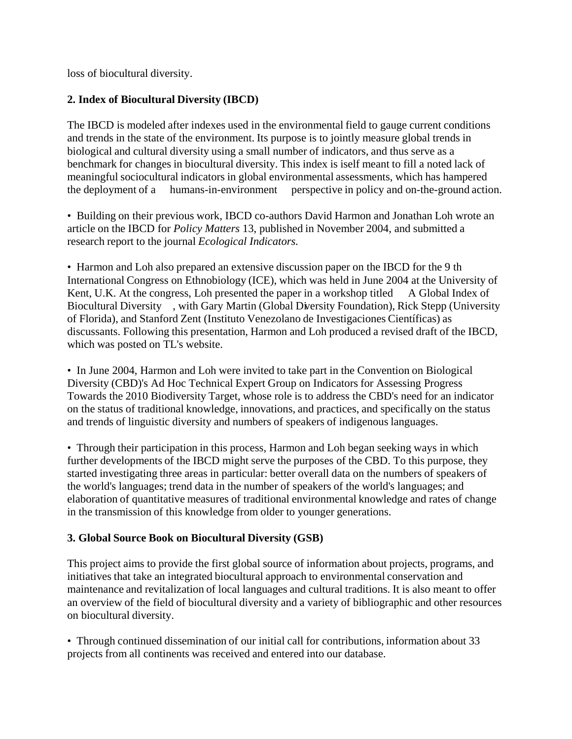loss of biocultural diversity.

#### **2. Index of Biocultural Diversity (IBCD)**

The IBCD is modeled after indexes used in the environmental field to gauge current conditions and trends in the state of the environment. Its purpose is to jointly measure global trends in biological and cultural diversity using a small number of indicators, and thus serve as a benchmark for changes in biocultural diversity. This index is iself meant to fill a noted lack of meaningful sociocultural indicators in global environmental assessments, which has hampered the deployment of a humans-in-environment perspective in policy and on-the-ground action.

• Building on their previous work, IBCD co-authors David Harmon and Jonathan Loh wrote an article on the IBCD for *Policy Matters* 13, published in November 2004, and submitted a research report to the journal *Ecological Indicators.*

• Harmon and Loh also prepared an extensive discussion paper on the IBCD for the 9 th International Congress on Ethnobiology (ICE), which was held in June 2004 at the University of Kent, U.K. At the congress, Loh presented the paper in a workshop titled A Global Index of Biocultural Diversity , with Gary Martin (Global Diversity Foundation), Rick Stepp (University of Florida), and Stanford Zent (Instituto Venezolano de Investigaciones Científicas) as discussants. Following this presentation, Harmon and Loh produced a revised draft of the IBCD, which was posted on TL's website.

• In June 2004, Harmon and Loh were invited to take part in the Convention on Biological Diversity (CBD)'s Ad Hoc Technical Expert Group on Indicators for Assessing Progress Towards the 2010 Biodiversity Target, whose role is to address the CBD's need for an indicator on the status of traditional knowledge, innovations, and practices, and specifically on the status and trends of linguistic diversity and numbers of speakers of indigenous languages.

• Through their participation in this process, Harmon and Loh began seeking ways in which further developments of the IBCD might serve the purposes of the CBD. To this purpose, they started investigating three areas in particular: better overall data on the numbers of speakers of the world's languages; trend data in the number of speakers of the world's languages; and elaboration of quantitative measures of traditional environmental knowledge and rates of change in the transmission of this knowledge from older to younger generations.

#### **3. Global Source Book on Biocultural Diversity (GSB)**

This project aims to provide the first global source of information about projects, programs, and initiatives that take an integrated biocultural approach to environmental conservation and maintenance and revitalization of local languages and cultural traditions. It is also meant to offer an overview of the field of biocultural diversity and a variety of bibliographic and other resources on biocultural diversity.

• Through continued dissemination of our initial call for contributions, information about 33 projects from all continents was received and entered into our database.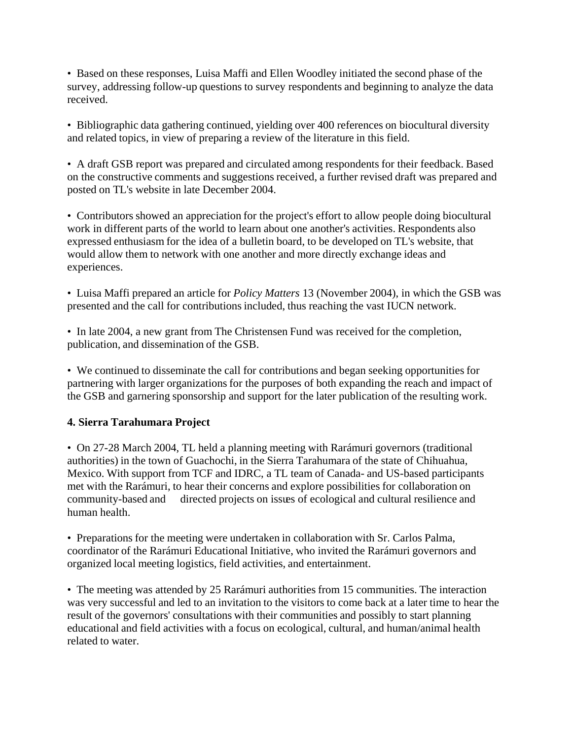• Based on these responses, Luisa Maffi and Ellen Woodley initiated the second phase of the survey, addressing follow-up questions to survey respondents and beginning to analyze the data received.

• Bibliographic data gathering continued, yielding over 400 references on biocultural diversity and related topics, in view of preparing a review of the literature in this field.

• A draft GSB report was prepared and circulated among respondents for their feedback. Based on the constructive comments and suggestions received, a further revised draft was prepared and posted on TL's website in late December 2004.

• Contributors showed an appreciation for the project's effort to allow people doing biocultural work in different parts of the world to learn about one another's activities. Respondents also expressed enthusiasm for the idea of a bulletin board, to be developed on TL's website, that would allow them to network with one another and more directly exchange ideas and experiences.

• Luisa Maffi prepared an article for *Policy Matters* 13 (November 2004), in which the GSB was presented and the call for contributions included, thus reaching the vast IUCN network.

• In late 2004, a new grant from The Christensen Fund was received for the completion, publication, and dissemination of the GSB.

• We continued to disseminate the call for contributions and began seeking opportunities for partnering with larger organizations for the purposes of both expanding the reach and impact of the GSB and garnering sponsorship and support for the later publication of the resulting work.

## **4. Sierra Tarahumara Project**

• On 27-28 March 2004, TL held a planning meeting with Rarámuri governors (traditional authorities) in the town of Guachochi, in the Sierra Tarahumara of the state of Chihuahua, Mexico. With support from TCF and IDRC, a TL team of Canada- and US-based participants met with the Rarámuri, to hear their concerns and explore possibilities for collaboration on community-based and directed projects on issues of ecological and cultural resilience and human health.

• Preparations for the meeting were undertaken in collaboration with Sr. Carlos Palma, coordinator of the Rarámuri Educational Initiative, who invited the Rarámuri governors and organized local meeting logistics, field activities, and entertainment.

• The meeting was attended by 25 Rarámuri authorities from 15 communities. The interaction was very successful and led to an invitation to the visitors to come back at a later time to hear the result of the governors' consultations with their communities and possibly to start planning educational and field activities with a focus on ecological, cultural, and human/animal health related to water.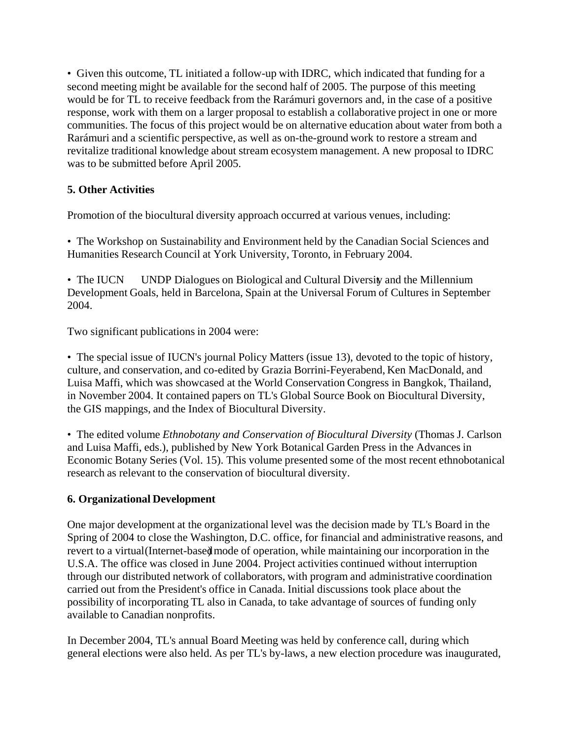• Given this outcome, TL initiated a follow-up with IDRC, which indicated that funding for a second meeting might be available for the second half of 2005. The purpose of this meeting would be for TL to receive feedback from the Rarámuri governors and, in the case of a positive response, work with them on a larger proposal to establish a collaborative project in one or more communities. The focus of this project would be on alternative education about water from both a Rarámuri and a scientific perspective, as well as on-the-ground work to restore a stream and revitalize traditional knowledge about stream ecosystem management. A new proposal to IDRC was to be submitted before April 2005.

## **5. Other Activities**

Promotion of the biocultural diversity approach occurred at various venues, including:

• The Workshop on Sustainability and Environment held by the Canadian Social Sciences and Humanities Research Council at York University, Toronto, in February 2004.

• The IUCN UNDP Dialogues on Biological and Cultural Diversity and the Millennium Development Goals, held in Barcelona, Spain at the Universal Forum of Cultures in September 2004.

Two significant publications in 2004 were:

• The special issue of IUCN's journal Policy Matters (issue 13), devoted to the topic of history, culture, and conservation, and co-edited by Grazia Borrini-Feyerabend, Ken MacDonald, and Luisa Maffi, which was showcased at the World Conservation Congress in Bangkok, Thailand, in November 2004. It contained papers on TL's Global Source Book on Biocultural Diversity, the GIS mappings, and the Index of Biocultural Diversity.

• The edited volume *Ethnobotany and Conservation of Biocultural Diversity* (Thomas J. Carlson and Luisa Maffi, eds.), published by New York Botanical Garden Press in the Advances in Economic Botany Series (Vol. 15). This volume presented some of the most recent ethnobotanical research as relevant to the conservation of biocultural diversity.

#### **6. Organizational Development**

One major development at the organizational level was the decision made by TL's Board in the Spring of 2004 to close the Washington, D.C. office, for financial and administrative reasons, and revert to a virtual(Internet-based) mode of operation, while maintaining our incorporation in the U.S.A. The office was closed in June 2004. Project activities continued without interruption through our distributed network of collaborators, with program and administrative coordination carried out from the President's office in Canada. Initial discussions took place about the possibility of incorporating TL also in Canada, to take advantage of sources of funding only available to Canadian nonprofits.

In December 2004, TL's annual Board Meeting was held by conference call, during which general elections were also held. As per TL's by-laws, a new election procedure was inaugurated,